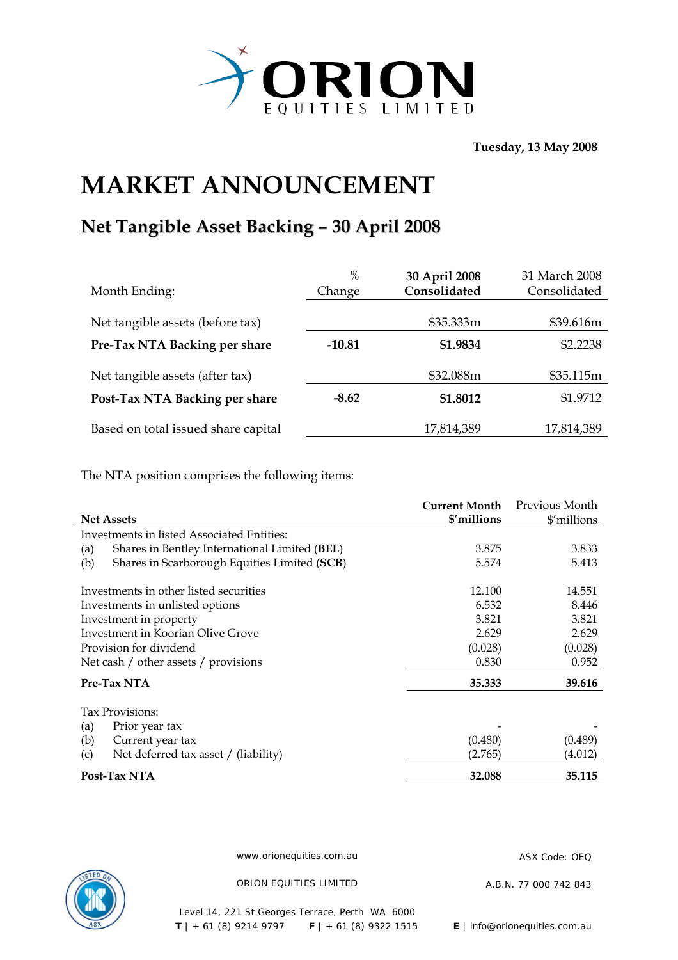

**Tuesday, 13 May 2008** 

## **MARKET ANNOUNCEMENT**

## **Net Tangible Asset Backing – 30 April 2008**

| Month Ending:                       | $\%$<br>Change | 30 April 2008<br>Consolidated | 31 March 2008<br>Consolidated |
|-------------------------------------|----------------|-------------------------------|-------------------------------|
| Net tangible assets (before tax)    |                | \$35.333m                     | \$39.616m                     |
| Pre-Tax NTA Backing per share       | $-10.81$       | \$1.9834                      | \$2.2238                      |
| Net tangible assets (after tax)     |                | \$32.088m                     | \$35.115m                     |
| Post-Tax NTA Backing per share      | $-8.62$        | \$1.8012                      | \$1.9712                      |
| Based on total issued share capital |                | 17,814,389                    | 17,814,389                    |

The NTA position comprises the following items:

|                                                      | <b>Current Month</b> | Previous Month |
|------------------------------------------------------|----------------------|----------------|
| <b>Net Assets</b>                                    | \$'millions          | \$'millions    |
| Investments in listed Associated Entities:           |                      |                |
| Shares in Bentley International Limited (BEL)<br>(a) | 3.875                | 3.833          |
| Shares in Scarborough Equities Limited (SCB)<br>(b)  | 5.574                | 5.413          |
| Investments in other listed securities               | 12.100               | 14.551         |
| Investments in unlisted options                      | 6.532                | 8.446          |
| Investment in property                               | 3.821                | 3.821          |
| Investment in Koorian Olive Grove                    | 2.629                | 2.629          |
| Provision for dividend                               | (0.028)              | (0.028)        |
| Net cash / other assets / provisions                 | 0.830                | 0.952          |
| Pre-Tax NTA                                          | 35.333               | 39.616         |
| Tax Provisions:                                      |                      |                |
| (a)<br>Prior year tax                                |                      |                |
| (b)<br>Current year tax                              | (0.480)              | (0.489)        |
| Net deferred tax asset / (liability)<br>(c)          | (2.765)              | (4.012)        |
| Post-Tax NTA                                         | 32.088               | 35.115         |



www.orionequities.com.au ASX Code: OEQ

ORION EQUITIES LIMITED A.B.N. 77 000 742 843

Level 14, 221 St Georges Terrace, Perth WA 6000  **T** | + 61 (8) 9214 9797 **F** | + 61 (8) 9322 1515 **E** | info@orionequities.com.au